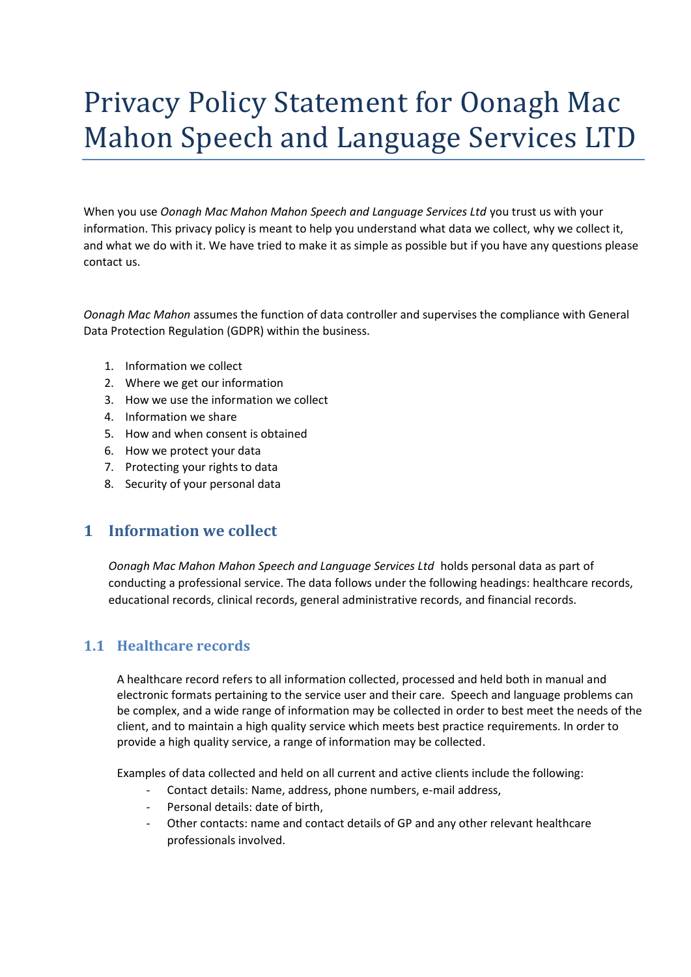# Privacy Policy Statement for Oonagh Mac Mahon Speech and Language Services LTD

When you use *Oonagh Mac Mahon Mahon Speech and Language Services Ltd* you trust us with your information. This privacy policy is meant to help you understand what data we collect, why we collect it, and what we do with it. We have tried to make it as simple as possible but if you have any questions please contact us.

*Oonagh Mac Mahon* assumes the function of data controller and supervises the compliance with General Data Protection Regulation (GDPR) within the business.

- 1. Information we collect
- 2. Where we get our information
- 3. How we use the information we collect
- 4. Information we share
- 5. How and when consent is obtained
- 6. How we protect your data
- 7. Protecting your rights to data
- 8. Security of your personal data

## **1 Information we collect**

*Oonagh Mac Mahon Mahon Speech and Language Services Ltd* holds personal data as part of conducting a professional service. The data follows under the following headings: healthcare records, educational records, clinical records, general administrative records, and financial records.

## **1.1 Healthcare records**

A healthcare record refers to all information collected, processed and held both in manual and electronic formats pertaining to the service user and their care. Speech and language problems can be complex, and a wide range of information may be collected in order to best meet the needs of the client, and to maintain a high quality service which meets best practice requirements. In order to provide a high quality service, a range of information may be collected.

Examples of data collected and held on all current and active clients include the following:

- Contact details: Name, address, phone numbers, e-mail address,
	- Personal details: date of birth,
	- Other contacts: name and contact details of GP and any other relevant healthcare professionals involved.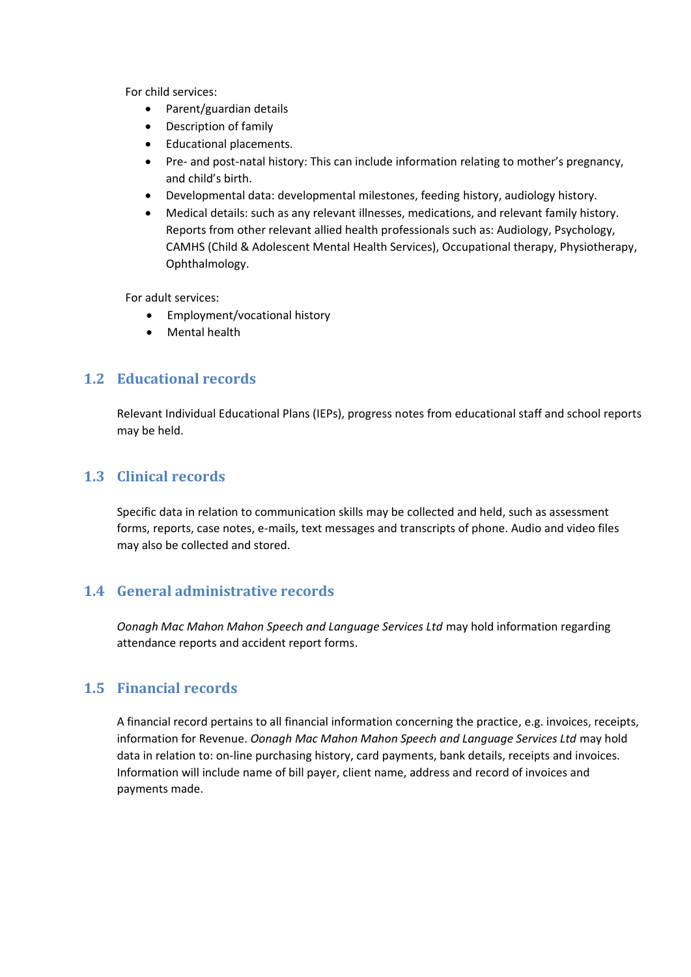For child services:

- Parent/guardian details
- Description of family
- Educational placements.
- Pre- and post-natal history: This can include information relating to mother's pregnancy, and child's birth.
- Developmental data: developmental milestones, feeding history, audiology history.
- Medical details: such as any relevant illnesses, medications, and relevant family history. Reports from other relevant allied health professionals such as: Audiology, Psychology, CAMHS (Child & Adolescent Mental Health Services), Occupational therapy, Physiotherapy, Ophthalmology.

For adult services:

- Employment/vocational history
- Mental health

## **1.2 Educational records**

Relevant Individual Educational Plans (IEPs), progress notes from educational staff and school reports may be held.

## **1.3 Clinical records**

Specific data in relation to communication skills may be collected and held, such as assessment forms, reports, case notes, e-mails, text messages and transcripts of phone. Audio and video files may also be collected and stored.

## **1.4 General administrative records**

*Oonagh Mac Mahon Mahon Speech and Language Services Ltd* may hold information regarding attendance reports and accident report forms.

## **1.5 Financial records**

A financial record pertains to all financial information concerning the practice, e.g. invoices, receipts, information for Revenue. *Oonagh Mac Mahon Mahon Speech and Language Services Ltd* may hold data in relation to: on-line purchasing history, card payments, bank details, receipts and invoices. Information will include name of bill payer, client name, address and record of invoices and payments made.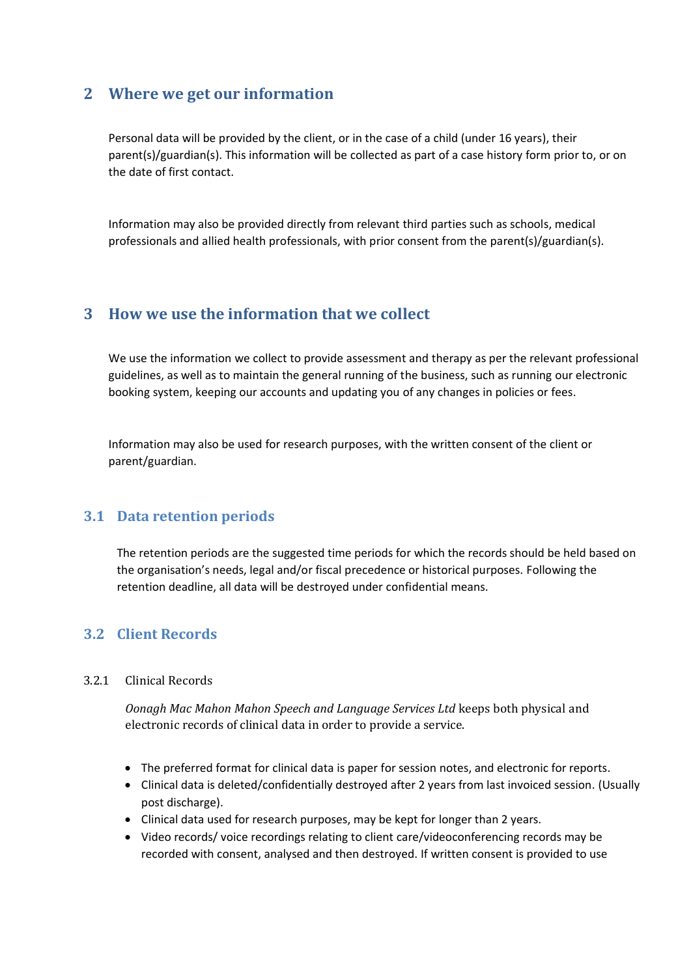# **2 Where we get our information**

Personal data will be provided by the client, or in the case of a child (under 16 years), their parent(s)/guardian(s). This information will be collected as part of a case history form prior to, or on the date of first contact.

Information may also be provided directly from relevant third parties such as schools, medical professionals and allied health professionals, with prior consent from the parent(s)/guardian(s).

## **3 How we use the information that we collect**

We use the information we collect to provide assessment and therapy as per the relevant professional guidelines, as well as to maintain the general running of the business, such as running our electronic booking system, keeping our accounts and updating you of any changes in policies or fees.

Information may also be used for research purposes, with the written consent of the client or parent/guardian.

## **3.1 Data retention periods**

The retention periods are the suggested time periods for which the records should be held based on the organisation's needs, legal and/or fiscal precedence or historical purposes. Following the retention deadline, all data will be destroyed under confidential means.

## **3.2 Client Records**

#### 3.2.1 Clinical Records

*Oonagh Mac Mahon Mahon Speech and Language Services Ltd* keeps both physical and electronic records of clinical data in order to provide a service.

- The preferred format for clinical data is paper for session notes, and electronic for reports.
- Clinical data is deleted/confidentially destroyed after 2 years from last invoiced session. (Usually post discharge).
- Clinical data used for research purposes, may be kept for longer than 2 years.
- Video records/ voice recordings relating to client care/videoconferencing records may be recorded with consent, analysed and then destroyed. If written consent is provided to use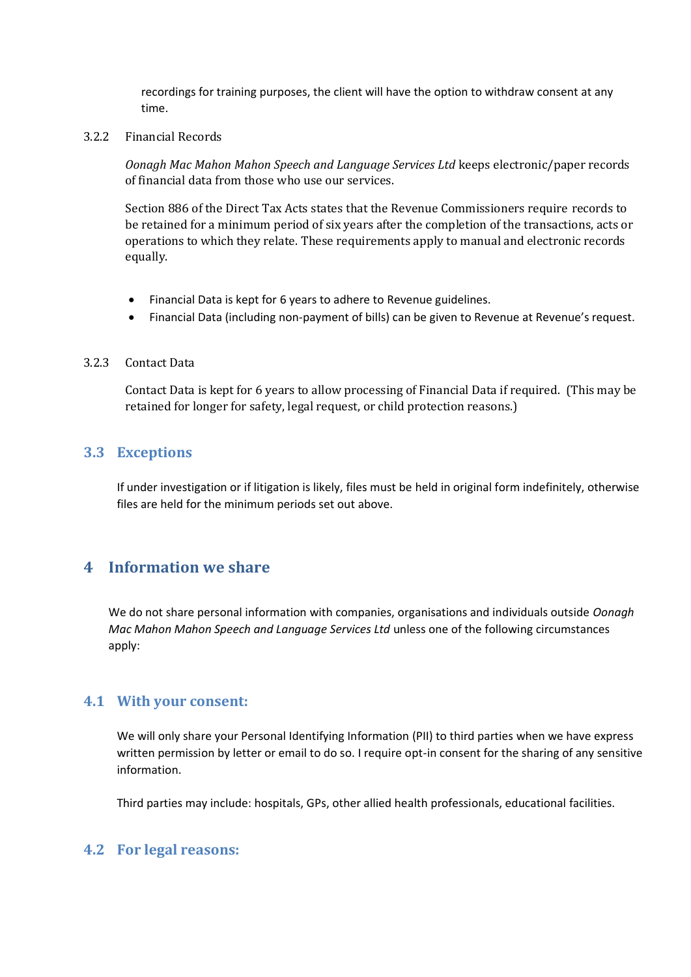recordings for training purposes, the client will have the option to withdraw consent at any time.

#### 3.2.2 Financial Records

*Oonagh Mac Mahon Mahon Speech and Language Services Ltd* keeps electronic/paper records of financial data from those who use our services.

Section 886 of the Direct Tax Acts states that the Revenue Commissioners require records to be retained for a minimum period of six years after the completion of the transactions, acts or operations to which they relate. These requirements apply to manual and electronic records equally.

- Financial Data is kept for 6 years to adhere to Revenue guidelines.
- Financial Data (including non-payment of bills) can be given to Revenue at Revenue's request.

#### 3.2.3 Contact Data

Contact Data is kept for 6 years to allow processing of Financial Data if required. (This may be retained for longer for safety, legal request, or child protection reasons.)

## **3.3 Exceptions**

If under investigation or if litigation is likely, files must be held in original form indefinitely, otherwise files are held for the minimum periods set out above.

# **4 Information we share**

We do not share personal information with companies, organisations and individuals outside *Oonagh Mac Mahon Mahon Speech and Language Services Ltd* unless one of the following circumstances apply:

## **4.1 With your consent:**

We will only share your Personal Identifying Information (PII) to third parties when we have express written permission by letter or email to do so. I require opt-in consent for the sharing of any sensitive information.

Third parties may include: hospitals, GPs, other allied health professionals, educational facilities.

## **4.2 For legal reasons:**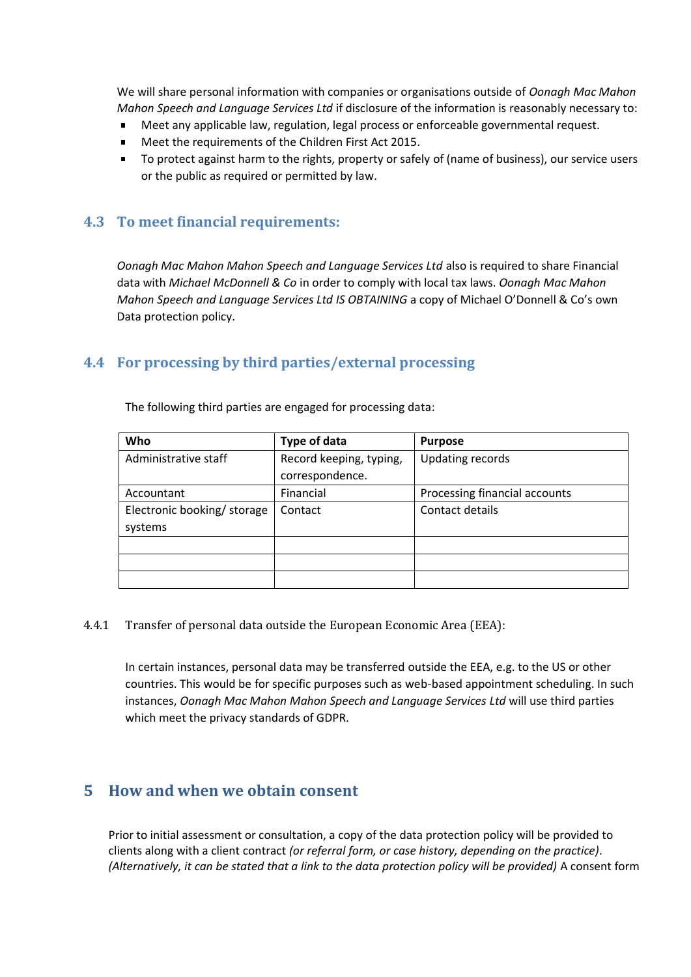We will share personal information with companies or organisations outside of *Oonagh Mac Mahon Mahon Speech and Language Services Ltd* if disclosure of the information is reasonably necessary to:

- Meet any applicable law, regulation, legal process or enforceable governmental request.  $\blacksquare$
- Meet the requirements of the Children First Act 2015.
- To protect against harm to the rights, property or safely of (name of business), our service users or the public as required or permitted by law.

## **4.3 To meet financial requirements:**

*Oonagh Mac Mahon Mahon Speech and Language Services Ltd* also is required to share Financial data with *Michael McDonnell & Co* in order to comply with local tax laws. *Oonagh Mac Mahon Mahon Speech and Language Services Ltd IS OBTAINING* a copy of Michael O'Donnell & Co's own Data protection policy.

## **4.4 For processing by third parties/external processing**

| Who                         | Type of data            | <b>Purpose</b>                |
|-----------------------------|-------------------------|-------------------------------|
| Administrative staff        | Record keeping, typing, | <b>Updating records</b>       |
|                             | correspondence.         |                               |
| Accountant                  | Financial               | Processing financial accounts |
| Electronic booking/ storage | Contact                 | Contact details               |
| systems                     |                         |                               |
|                             |                         |                               |
|                             |                         |                               |
|                             |                         |                               |

The following third parties are engaged for processing data:

4.4.1 Transfer of personal data outside the European Economic Area (EEA):

In certain instances, personal data may be transferred outside the EEA, e.g. to the US or other countries. This would be for specific purposes such as web-based appointment scheduling. In such instances, *Oonagh Mac Mahon Mahon Speech and Language Services Ltd* will use third parties which meet the privacy standards of GDPR.

# **5 How and when we obtain consent**

Prior to initial assessment or consultation, a copy of the data protection policy will be provided to clients along with a client contract *(or referral form, or case history, depending on the practice)*. *(Alternatively, it can be stated that a link to the data protection policy will be provided)* A consent form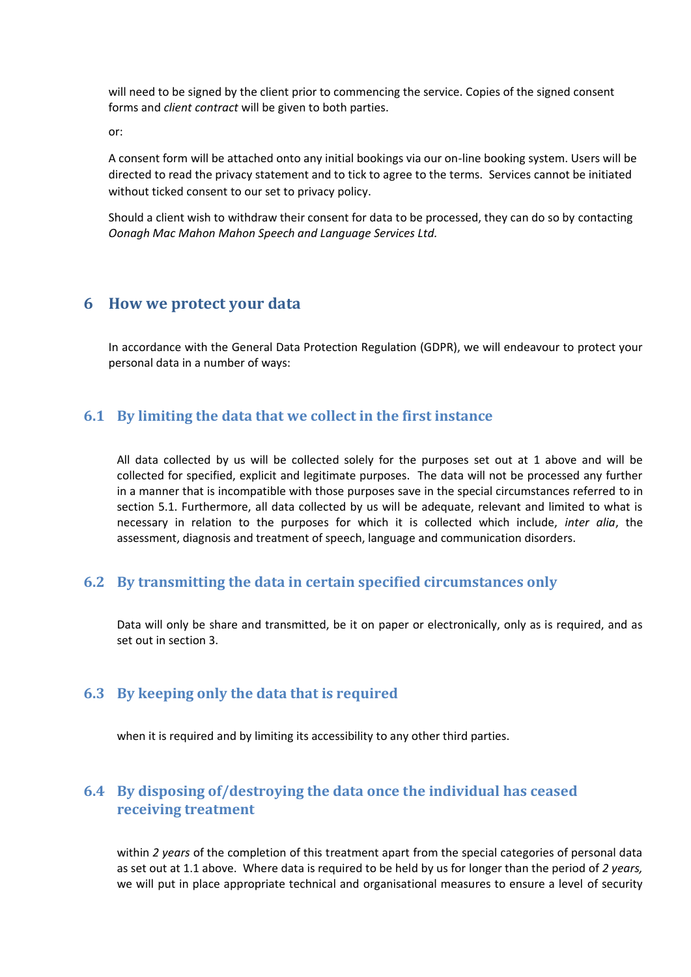will need to be signed by the client prior to commencing the service. Copies of the signed consent forms and *client contract* will be given to both parties.

or:

A consent form will be attached onto any initial bookings via our on-line booking system. Users will be directed to read the privacy statement and to tick to agree to the terms. Services cannot be initiated without ticked consent to our set to privacy policy.

Should a client wish to withdraw their consent for data to be processed, they can do so by contacting *Oonagh Mac Mahon Mahon Speech and Language Services Ltd.*

## **6 How we protect your data**

In accordance with the General Data Protection Regulation (GDPR), we will endeavour to protect your personal data in a number of ways:

#### **6.1 By limiting the data that we collect in the first instance**

All data collected by us will be collected solely for the purposes set out at 1 above and will be collected for specified, explicit and legitimate purposes. The data will not be processed any further in a manner that is incompatible with those purposes save in the special circumstances referred to in section 5.1. Furthermore, all data collected by us will be adequate, relevant and limited to what is necessary in relation to the purposes for which it is collected which include, *inter alia*, the assessment, diagnosis and treatment of speech, language and communication disorders.

#### **6.2 By transmitting the data in certain specified circumstances only**

Data will only be share and transmitted, be it on paper or electronically, only as is required, and as set out in section 3.

#### **6.3 By keeping only the data that is required**

when it is required and by limiting its accessibility to any other third parties.

## **6.4 By disposing of/destroying the data once the individual has ceased receiving treatment**

within *2 years* of the completion of this treatment apart from the special categories of personal data as set out at 1.1 above. Where data is required to be held by us for longer than the period of *2 years,*  we will put in place appropriate technical and organisational measures to ensure a level of security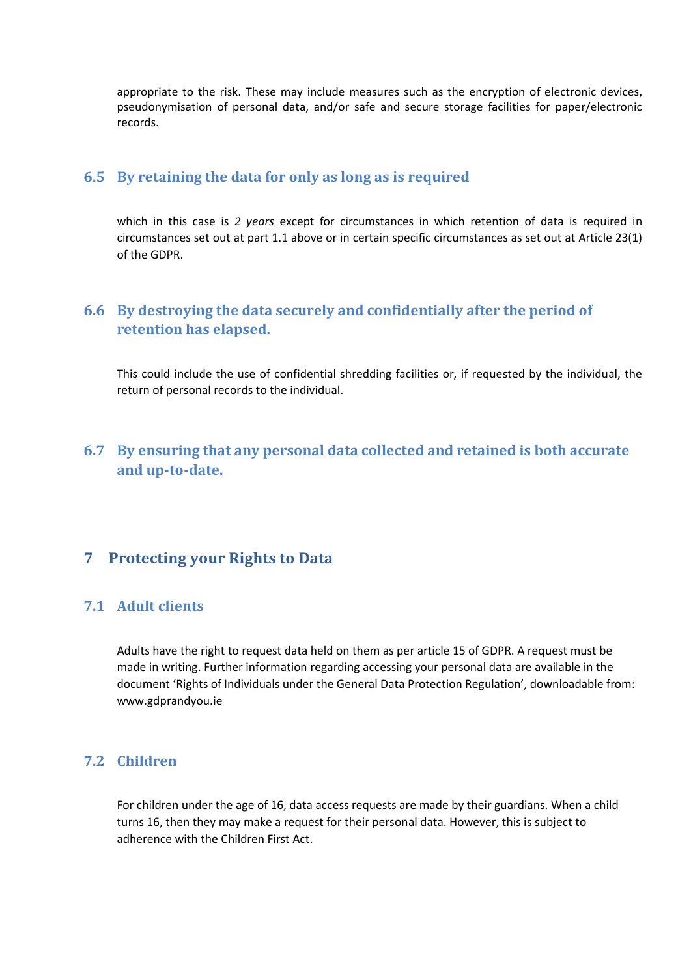appropriate to the risk. These may include measures such as the encryption of electronic devices, pseudonymisation of personal data, and/or safe and secure storage facilities for paper/electronic records.

## **6.5 By retaining the data for only as long as is required**

which in this case is *2 years* except for circumstances in which retention of data is required in circumstances set out at part 1.1 above or in certain specific circumstances as set out at Article 23(1) of the GDPR.

# **6.6 By destroying the data securely and confidentially after the period of retention has elapsed.**

This could include the use of confidential shredding facilities or, if requested by the individual, the return of personal records to the individual.

# **6.7 By ensuring that any personal data collected and retained is both accurate and up-to-date.**

# **7 Protecting your Rights to Data**

## **7.1 Adult clients**

Adults have the right to request data held on them as per article 15 of GDPR. A request must be made in writing. Further information regarding accessing your personal data are available in the document 'Rights of Individuals under the General Data Protection Regulation', downloadable from: www.gdprandyou.ie

## **7.2 Children**

For children under the age of 16, data access requests are made by their guardians. When a child turns 16, then they may make a request for their personal data. However, this is subject to adherence with the Children First Act.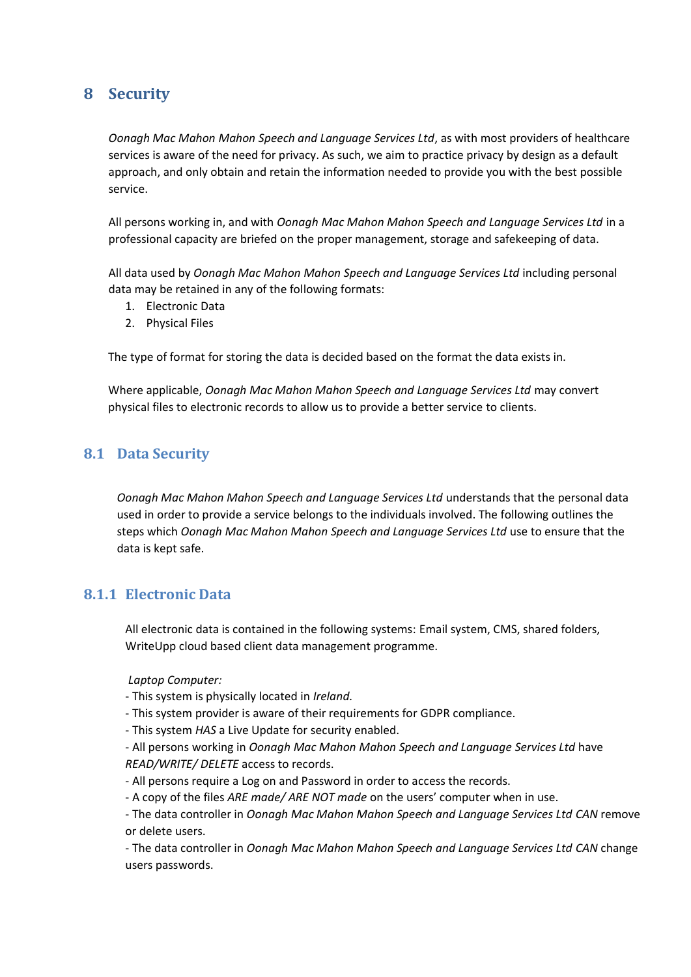# **8 Security**

*Oonagh Mac Mahon Mahon Speech and Language Services Ltd*, as with most providers of healthcare services is aware of the need for privacy. As such, we aim to practice privacy by design as a default approach, and only obtain and retain the information needed to provide you with the best possible service.

All persons working in, and with *Oonagh Mac Mahon Mahon Speech and Language Services Ltd* in a professional capacity are briefed on the proper management, storage and safekeeping of data.

All data used by *Oonagh Mac Mahon Mahon Speech and Language Services Ltd* including personal data may be retained in any of the following formats:

- 1. Electronic Data
- 2. Physical Files

The type of format for storing the data is decided based on the format the data exists in.

Where applicable, *Oonagh Mac Mahon Mahon Speech and Language Services Ltd* may convert physical files to electronic records to allow us to provide a better service to clients.

## **8.1 Data Security**

*Oonagh Mac Mahon Mahon Speech and Language Services Ltd* understands that the personal data used in order to provide a service belongs to the individuals involved. The following outlines the steps which *Oonagh Mac Mahon Mahon Speech and Language Services Ltd* use to ensure that the data is kept safe.

## **8.1.1 Electronic Data**

All electronic data is contained in the following systems: Email system, CMS, shared folders, WriteUpp cloud based client data management programme.

*Laptop Computer:*

- This system is physically located in *Ireland.*
- This system provider is aware of their requirements for GDPR compliance.
- This system *HAS* a Live Update for security enabled.

- All persons working in *Oonagh Mac Mahon Mahon Speech and Language Services Ltd* have *READ/WRITE/ DELETE* access to records.

- All persons require a Log on and Password in order to access the records.
- A copy of the files *ARE made/ ARE NOT made* on the users' computer when in use.

- The data controller in *Oonagh Mac Mahon Mahon Speech and Language Services Ltd CAN* remove or delete users.

- The data controller in *Oonagh Mac Mahon Mahon Speech and Language Services Ltd CAN* change users passwords.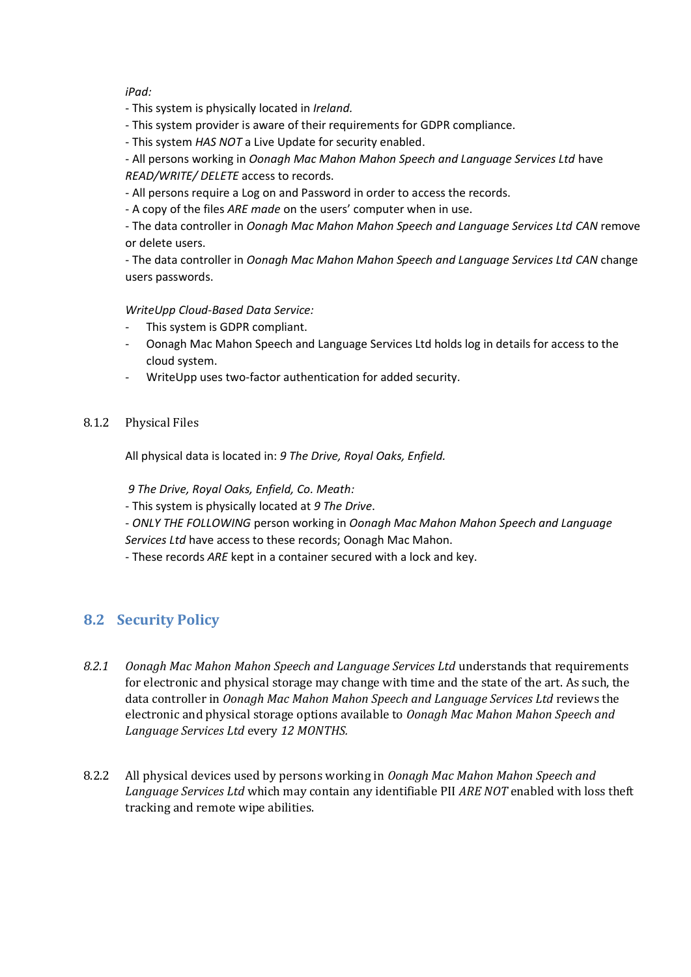#### *iPad:*

- This system is physically located in *Ireland.*
- This system provider is aware of their requirements for GDPR compliance.
- This system *HAS NOT* a Live Update for security enabled.

- All persons working in *Oonagh Mac Mahon Mahon Speech and Language Services Ltd* have *READ/WRITE/ DELETE* access to records.

- All persons require a Log on and Password in order to access the records.
- A copy of the files *ARE made* on the users' computer when in use.

- The data controller in *Oonagh Mac Mahon Mahon Speech and Language Services Ltd CAN* remove or delete users.

- The data controller in *Oonagh Mac Mahon Mahon Speech and Language Services Ltd CAN* change users passwords.

#### *WriteUpp Cloud-Based Data Service:*

- This system is GDPR compliant.
- Oonagh Mac Mahon Speech and Language Services Ltd holds log in details for access to the cloud system.
- WriteUpp uses two-factor authentication for added security.

#### 8.1.2 Physical Files

All physical data is located in: *9 The Drive, Royal Oaks, Enfield.*

*9 The Drive, Royal Oaks, Enfield, Co. Meath:*

- This system is physically located at *9 The Drive*.

- *ONLY THE FOLLOWING* person working in *Oonagh Mac Mahon Mahon Speech and Language Services Ltd* have access to these records; Oonagh Mac Mahon.

- These records *ARE* kept in a container secured with a lock and key.

## **8.2 Security Policy**

- *8.2.1 Oonagh Mac Mahon Mahon Speech and Language Services Ltd* understands that requirements for electronic and physical storage may change with time and the state of the art. As such, the data controller in *Oonagh Mac Mahon Mahon Speech and Language Services Ltd* reviews the electronic and physical storage options available to *Oonagh Mac Mahon Mahon Speech and Language Services Ltd* every *12 MONTHS.*
- 8.2.2 All physical devices used by persons working in *Oonagh Mac Mahon Mahon Speech and Language Services Ltd* which may contain any identifiable PII *ARE NOT* enabled with loss theft tracking and remote wipe abilities.